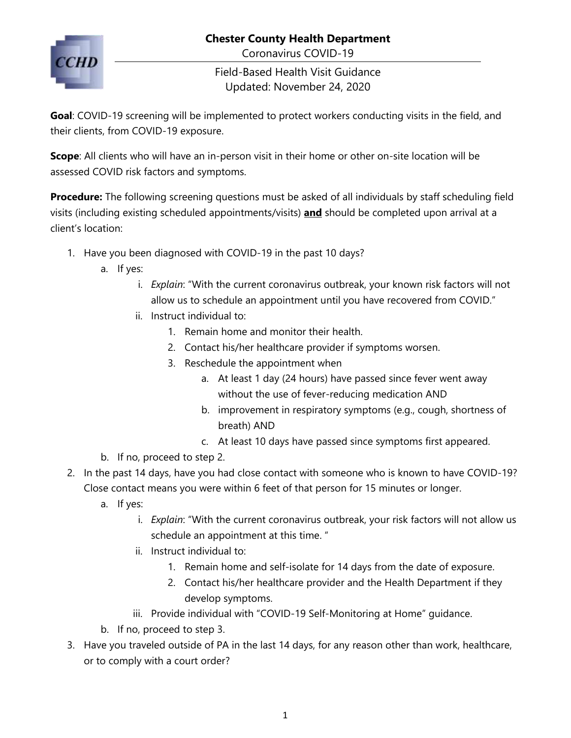

Coronavirus COVID-19

Field-Based Health Visit Guidance Updated: November 24, 2020

**Goal**: COVID-19 screening will be implemented to protect workers conducting visits in the field, and their clients, from COVID-19 exposure.

**Scope**: All clients who will have an in-person visit in their home or other on-site location will be assessed COVID risk factors and symptoms.

**Procedure:** The following screening questions must be asked of all individuals by staff scheduling field visits (including existing scheduled appointments/visits) **and** should be completed upon arrival at a client's location:

- 1. Have you been diagnosed with COVID-19 in the past 10 days?
	- a. If yes:
		- i. *Explain*: "With the current coronavirus outbreak, your known risk factors will not allow us to schedule an appointment until you have recovered from COVID."
		- ii. Instruct individual to:
			- 1. Remain home and monitor their health.
			- 2. Contact his/her healthcare provider if symptoms worsen.
			- 3. Reschedule the appointment when
				- a. At least 1 day (24 hours) have passed since fever went away without the use of fever-reducing medication AND
				- b. improvement in respiratory symptoms (e.g., cough, shortness of breath) AND
				- c. At least 10 days have passed since symptoms first appeared.
	- b. If no, proceed to step 2.
- 2. In the past 14 days, have you had close contact with someone who is known to have COVID-19? Close contact means you were within 6 feet of that person for 15 minutes or longer.
	- a. If yes:
		- i. *Explain*: "With the current coronavirus outbreak, your risk factors will not allow us schedule an appointment at this time. "
		- ii. Instruct individual to:
			- 1. Remain home and self-isolate for 14 days from the date of exposure.
			- 2. Contact his/her healthcare provider and the Health Department if they develop symptoms.
		- iii. Provide individual with "COVID-19 Self-Monitoring at Home" guidance.
	- b. If no, proceed to step 3.
- 3. Have you traveled outside of PA in the last 14 days, for any reason other than work, healthcare, or to comply with a court order?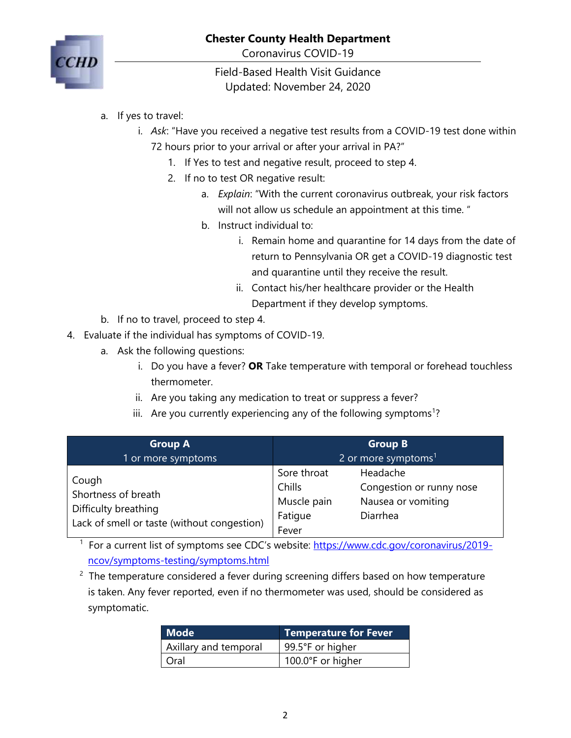

Coronavirus COVID-19

Field-Based Health Visit Guidance Updated: November 24, 2020

- a. If yes to travel:
	- i. *Ask*: "Have you received a negative test results from a COVID-19 test done within 72 hours prior to your arrival or after your arrival in PA?"
		- 1. If Yes to test and negative result, proceed to step 4.
		- 2. If no to test OR negative result:
			- a. *Explain*: "With the current coronavirus outbreak, your risk factors will not allow us schedule an appointment at this time. "
			- b. Instruct individual to:
				- i. Remain home and quarantine for 14 days from the date of return to Pennsylvania OR get a COVID-19 diagnostic test and quarantine until they receive the result.
				- ii. Contact his/her healthcare provider or the Health Department if they develop symptoms.
- b. If no to travel, proceed to step 4.
- 4. Evaluate if the individual has symptoms of COVID-19.
	- a. Ask the following questions:
		- i. Do you have a fever? **OR** Take temperature with temporal or forehead touchless thermometer.
		- ii. Are you taking any medication to treat or suppress a fever?
		- iii. Are you currently experiencing any of the following symptoms<sup>1</sup>?

| <b>Group A</b>                                                                                      |                                                          | <b>Group B</b>                                                         |
|-----------------------------------------------------------------------------------------------------|----------------------------------------------------------|------------------------------------------------------------------------|
| 1 or more symptoms                                                                                  | 2 or more symptoms $1$                                   |                                                                        |
| Cough<br>Shortness of breath<br>Difficulty breathing<br>Lack of smell or taste (without congestion) | Sore throat<br>Chills<br>Muscle pain<br>Fatigue<br>Fever | Headache<br>Congestion or runny nose<br>Nausea or vomiting<br>Diarrhea |

<sup>1</sup> For a current list of symptoms see CDC's website: [https://www.cdc.gov/coronavirus/2019](https://www.cdc.gov/coronavirus/2019-ncov/symptoms-testing/symptoms.html) [ncov/symptoms-testing/symptoms.html](https://www.cdc.gov/coronavirus/2019-ncov/symptoms-testing/symptoms.html)

 $2$  The temperature considered a fever during screening differs based on how temperature is taken. Any fever reported, even if no thermometer was used, should be considered as symptomatic.

| Mode                  | <b>Temperature for Fever</b> |
|-----------------------|------------------------------|
| Axillary and temporal | 99.5°F or higher             |
| Oral                  | 100.0°F or higher            |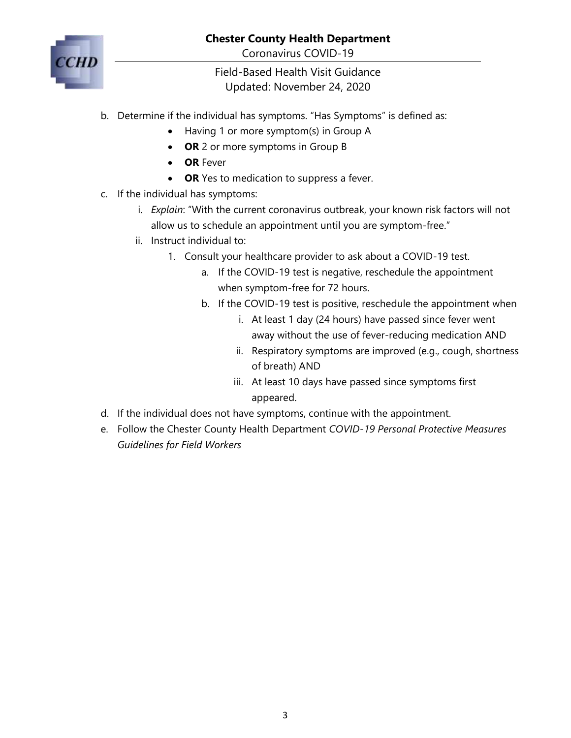

Coronavirus COVID-19

Field-Based Health Visit Guidance Updated: November 24, 2020

- b. Determine if the individual has symptoms. "Has Symptoms" is defined as:
	- Having 1 or more symptom(s) in Group A
	- **OR** 2 or more symptoms in Group B
	- **OR** Fever
	- **OR** Yes to medication to suppress a fever.
- c. If the individual has symptoms:
	- i. *Explain*: "With the current coronavirus outbreak, your known risk factors will not allow us to schedule an appointment until you are symptom-free."
	- ii. Instruct individual to:
		- 1. Consult your healthcare provider to ask about a COVID-19 test.
			- a. If the COVID-19 test is negative, reschedule the appointment when symptom-free for 72 hours.
			- b. If the COVID-19 test is positive, reschedule the appointment when
				- i. At least 1 day (24 hours) have passed since fever went away without the use of fever-reducing medication AND
				- ii. Respiratory symptoms are improved (e.g., cough, shortness of breath) AND
				- iii. At least 10 days have passed since symptoms first appeared.
- d. If the individual does not have symptoms, continue with the appointment.
- e. Follow the Chester County Health Department *COVID-19 Personal Protective Measures Guidelines for Field Workers*